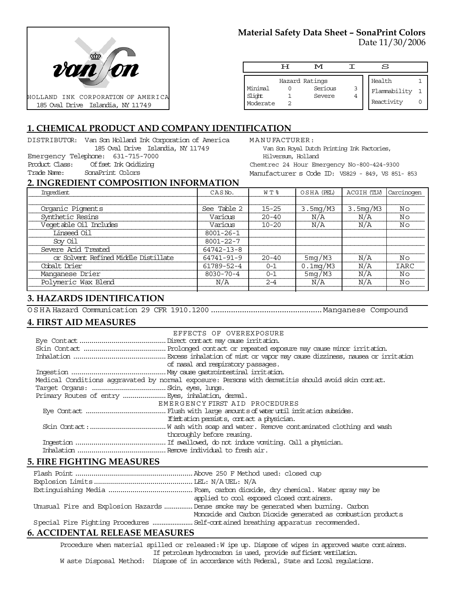

# **Material Safety Data Sheet – SonaPrint Colors**

Date 11/30/2006

|                               | டா | M                                   |        | S                                    |  |
|-------------------------------|----|-------------------------------------|--------|--------------------------------------|--|
| Minimal<br>Slight<br>Moderate |    | Hazard Ratings<br>Serious<br>Severe | 3<br>4 | Health<br>Flammability<br>Reactivity |  |

# **1. CHEMICAL PRODUCT AND COMPANY IDENTIFICATION**

DISTRIBUTOR: Van Son Holland Ink Corporation of America 185 Oval Drive Islandia, NY 11749 Emergency Telephone: 631-715-7000 Product Class: Offset Ink Oxidizing Trade Name: SonaPrint Colors

MANUFACTURER: Van Son Royal Dutch Printing Ink Factories, Hilversum, Holland Chemtrec 24 Hour Emergency No-800-424-9300 Manufacturer s Code ID: VS829 - 849, VS 851- 853

#### **2. INGREDIENT COMPOSITION INFORMATION**

| Ingredient                           | CASN <sub>o</sub> . | WT %      | OSHA (PEL)  | ACGIH (TLV) | Carcinogen  |
|--------------------------------------|---------------------|-----------|-------------|-------------|-------------|
|                                      |                     |           |             |             |             |
| Organic Pigments                     | See Table 2         | $15 - 25$ | 3.5mg/M3    | 3.5mg/M3    | Nο          |
| Synthetic Resins                     | Various             | $20 - 40$ | N/A         | N/A         | Nο          |
| Vegetable Oil Includes               | Various             | $10 - 20$ | N/A         | N/A         | Nο          |
| Linseed Oil                          | $8001 - 26 - 1$     |           |             |             |             |
| Sov Oil                              | $8001 - 22 - 7$     |           |             |             |             |
| Severe Acid Treated                  | 64742-13-8          |           |             |             |             |
| or Solvent Refined Middle Distillate | 64741-91-9          | $20 - 40$ | 5mg/M3      | N/A         | Νo          |
| Cobalt Drier                         | 61789-52-4          | $0 - 1$   | $0.1$ mq/M3 | N/A         | <b>IARC</b> |
| Manganese Drier                      | $8030 - 70 - 4$     | $0 - 1$   | 5mg/M3      | N/A         | Νo          |
| Polymeric Wax Blend                  | N/A                 | $2 - 4$   | N/A         | N/A         | Νo          |
|                                      |                     |           |             |             |             |

## **3. HAZARDS IDENTIFICATION**

OSHA Hazard Communication 29 CFR 1910.1200..................................................Manganese Compound

## **4. FIRST AID MEASURES**

| EFFECTS OF OVEREXPOSURE                                                                            |  |
|----------------------------------------------------------------------------------------------------|--|
|                                                                                                    |  |
|                                                                                                    |  |
|                                                                                                    |  |
| of nasal and respiratory passages.                                                                 |  |
|                                                                                                    |  |
| Medical Conditions aggravated by normal exposure: Persons with dematitis should avoid skin contat. |  |
|                                                                                                    |  |
| Primary Routes of entry  Eyes, inhalation, demal.                                                  |  |
| EMERGENCY FIRST AID PROCEDURES                                                                     |  |
|                                                                                                    |  |
| If initiation persists, contact a physician.                                                       |  |
|                                                                                                    |  |
| thoroughly before reusing.                                                                         |  |
|                                                                                                    |  |
|                                                                                                    |  |

#### **5. FIRE FIGHTING MEASURES**

|                              | applied to cool exposed closed containers.                                            |
|------------------------------|---------------------------------------------------------------------------------------|
|                              | Unusual Fire and Explosion Hazards  Dense smoke may be generated when burning. Carbon |
|                              | Monoxide and Carbon Dioxide generated as combustion products                          |
|                              |                                                                                       |
| A CCIDENTAL DELEACE MEACHDEC |                                                                                       |

# **6. ACCIDENTAL RELEASE MEASURES**

Procedure when material spilled or released: W ipe up. Dispose of wipes in approved waste containers. If petroleum hydrocarbon is used, provide sufficient ventilation. W aste Disposal Method: Dispose of in accordance with Federal, State and Local regulations.